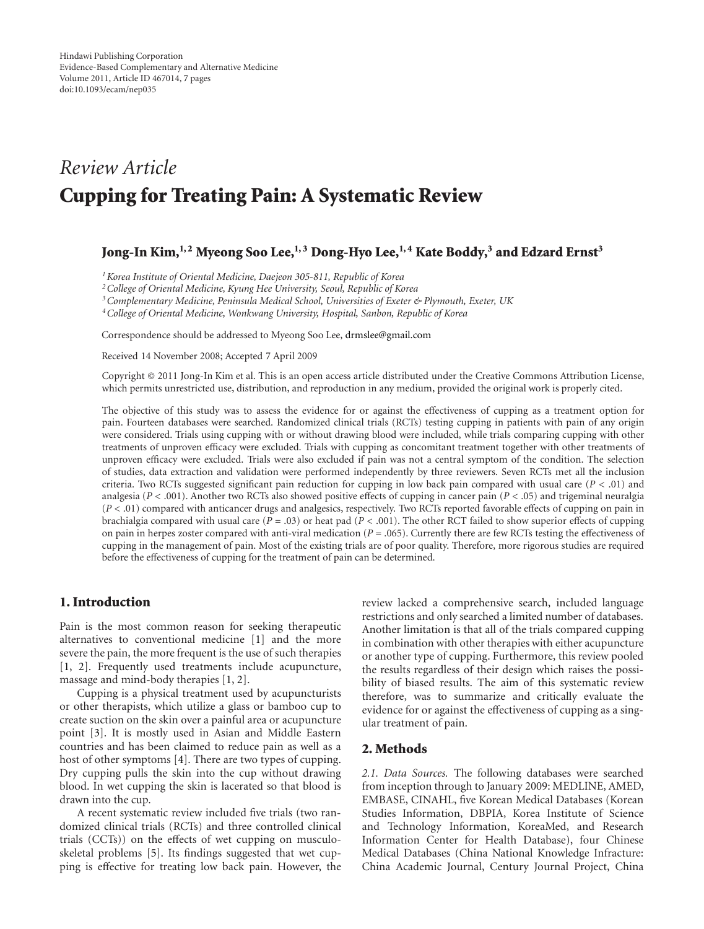# *Review Article* **Cupping for Treating Pain: A Systematic Review**

# Jong-In Kim,<sup>1,2</sup> Myeong Soo Lee,<sup>1,3</sup> Dong-Hyo Lee,<sup>1,4</sup> Kate Boddy,<sup>3</sup> and Edzard Ernst<sup>3</sup>

*1Korea Institute of Oriental Medicine, Daejeon 305-811, Republic of Korea*

*2College of Oriental Medicine, Kyung Hee University, Seoul, Republic of Korea*

*3Complementary Medicine, Peninsula Medical School, Universities of Exeter & Plymouth, Exeter, UK*

*4College of Oriental Medicine, Wonkwang University, Hospital, Sanbon, Republic of Korea*

Correspondence should be addressed to Myeong Soo Lee, [drmslee@gmail.com](mailto:drmslee@gmail.com)

Received 14 November 2008; Accepted 7 April 2009

Copyright © 2011 Jong-In Kim et al. This is an open access article distributed under the Creative Commons Attribution License, which permits unrestricted use, distribution, and reproduction in any medium, provided the original work is properly cited.

The objective of this study was to assess the evidence for or against the effectiveness of cupping as a treatment option for pain. Fourteen databases were searched. Randomized clinical trials (RCTs) testing cupping in patients with pain of any origin were considered. Trials using cupping with or without drawing blood were included, while trials comparing cupping with other treatments of unproven efficacy were excluded. Trials with cupping as concomitant treatment together with other treatments of unproven efficacy were excluded. Trials were also excluded if pain was not a central symptom of the condition. The selection of studies, data extraction and validation were performed independently by three reviewers. Seven RCTs met all the inclusion criteria. Two RCTs suggested significant pain reduction for cupping in low back pain compared with usual care (*P <* .01) and analgesia (*P <* .001). Another two RCTs also showed positive effects of cupping in cancer pain (*P <* .05) and trigeminal neuralgia (*P <* .01) compared with anticancer drugs and analgesics, respectively. Two RCTs reported favorable effects of cupping on pain in brachialgia compared with usual care (*P* = .03) or heat pad (*P <* .001). The other RCT failed to show superior effects of cupping on pain in herpes zoster compared with anti-viral medication  $(P = .065)$ . Currently there are few RCTs testing the effectiveness of cupping in the management of pain. Most of the existing trials are of poor quality. Therefore, more rigorous studies are required before the effectiveness of cupping for the treatment of pain can be determined.

# **1. Introduction**

Pain is the most common reason for seeking therapeutic alternatives to conventional medicine [\[1](#page-6-0)] and the more severe the pain, the more frequent is the use of such therapies [\[1](#page-6-0), [2\]](#page-6-1). Frequently used treatments include acupuncture, massage and mind-body therapies [\[1,](#page-6-0) [2](#page-6-1)].

Cupping is a physical treatment used by acupuncturists or other therapists, which utilize a glass or bamboo cup to create suction on the skin over a painful area or acupuncture point [\[3\]](#page-6-2). It is mostly used in Asian and Middle Eastern countries and has been claimed to reduce pain as well as a host of other symptoms [\[4\]](#page-6-3). There are two types of cupping. Dry cupping pulls the skin into the cup without drawing blood. In wet cupping the skin is lacerated so that blood is drawn into the cup.

A recent systematic review included five trials (two randomized clinical trials (RCTs) and three controlled clinical trials (CCTs)) on the effects of wet cupping on musculoskeletal problems [\[5](#page-6-4)]. Its findings suggested that wet cupping is effective for treating low back pain. However, the review lacked a comprehensive search, included language restrictions and only searched a limited number of databases. Another limitation is that all of the trials compared cupping in combination with other therapies with either acupuncture or another type of cupping. Furthermore, this review pooled the results regardless of their design which raises the possibility of biased results. The aim of this systematic review therefore, was to summarize and critically evaluate the evidence for or against the effectiveness of cupping as a singular treatment of pain.

## **2. Methods**

*2.1. Data Sources.* The following databases were searched from inception through to January 2009: MEDLINE, AMED, EMBASE, CINAHL, five Korean Medical Databases (Korean Studies Information, DBPIA, Korea Institute of Science and Technology Information, KoreaMed, and Research Information Center for Health Database), four Chinese Medical Databases (China National Knowledge Infracture: China Academic Journal, Century Journal Project, China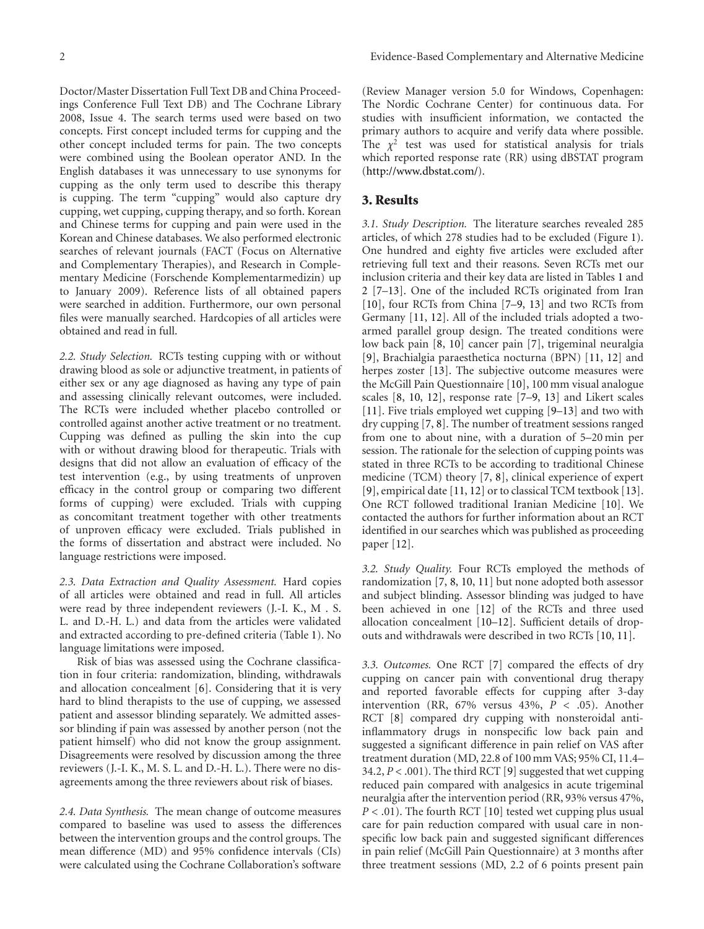Doctor/Master Dissertation Full Text DB and China Proceedings Conference Full Text DB) and The Cochrane Library 2008, Issue 4. The search terms used were based on two concepts. First concept included terms for cupping and the other concept included terms for pain. The two concepts were combined using the Boolean operator AND. In the English databases it was unnecessary to use synonyms for cupping as the only term used to describe this therapy is cupping. The term "cupping" would also capture dry cupping, wet cupping, cupping therapy, and so forth. Korean and Chinese terms for cupping and pain were used in the Korean and Chinese databases. We also performed electronic searches of relevant journals (FACT (Focus on Alternative and Complementary Therapies), and Research in Complementary Medicine (Forschende Komplementarmedizin) up to January 2009). Reference lists of all obtained papers were searched in addition. Furthermore, our own personal files were manually searched. Hardcopies of all articles were obtained and read in full.

*2.2. Study Selection.* RCTs testing cupping with or without drawing blood as sole or adjunctive treatment, in patients of either sex or any age diagnosed as having any type of pain and assessing clinically relevant outcomes, were included. The RCTs were included whether placebo controlled or controlled against another active treatment or no treatment. Cupping was defined as pulling the skin into the cup with or without drawing blood for therapeutic. Trials with designs that did not allow an evaluation of efficacy of the test intervention (e.g., by using treatments of unproven efficacy in the control group or comparing two different forms of cupping) were excluded. Trials with cupping as concomitant treatment together with other treatments of unproven efficacy were excluded. Trials published in the forms of dissertation and abstract were included. No language restrictions were imposed.

*2.3. Data Extraction and Quality Assessment.* Hard copies of all articles were obtained and read in full. All articles were read by three independent reviewers (J.-I. K., M . S. L. and D.-H. L.) and data from the articles were validated and extracted according to pre-defined criteria (Table [1\)](#page-2-0). No language limitations were imposed.

Risk of bias was assessed using the Cochrane classification in four criteria: randomization, blinding, withdrawals and allocation concealment [\[6](#page-6-5)]. Considering that it is very hard to blind therapists to the use of cupping, we assessed patient and assessor blinding separately. We admitted assessor blinding if pain was assessed by another person (not the patient himself) who did not know the group assignment. Disagreements were resolved by discussion among the three reviewers (J.-I. K., M. S. L. and D.-H. L.). There were no disagreements among the three reviewers about risk of biases.

*2.4. Data Synthesis.* The mean change of outcome measures compared to baseline was used to assess the differences between the intervention groups and the control groups. The mean difference (MD) and 95% confidence intervals (CIs) were calculated using the Cochrane Collaboration's software (Review Manager version 5.0 for Windows, Copenhagen: The Nordic Cochrane Center) for continuous data. For studies with insufficient information, we contacted the primary authors to acquire and verify data where possible. The  $\chi^2$  test was used for statistical analysis for trials which reported response rate (RR) using dBSTAT program [\(http://www.dbstat.com/\)](http://www.dbstat.com/).

#### **3. Results**

*3.1. Study Description.* The literature searches revealed 285 articles, of which 278 studies had to be excluded (Figure [1\)](#page-5-0). One hundred and eighty five articles were excluded after retrieving full text and their reasons. Seven RCTs met our inclusion criteria and their key data are listed in Tables [1](#page-2-0) and [2](#page-4-0) [\[7](#page-6-6)[–13](#page-6-7)]. One of the included RCTs originated from Iran [\[10\]](#page-6-8), four RCTs from China [\[7](#page-6-6)[–9,](#page-6-9) [13\]](#page-6-7) and two RCTs from Germany [\[11](#page-6-10), [12\]](#page-6-11). All of the included trials adopted a twoarmed parallel group design. The treated conditions were low back pain [\[8](#page-6-12), [10\]](#page-6-8) cancer pain [\[7\]](#page-6-6), trigeminal neuralgia [\[9](#page-6-9)], Brachialgia paraesthetica nocturna (BPN) [\[11,](#page-6-10) [12\]](#page-6-11) and herpes zoster [\[13](#page-6-7)]. The subjective outcome measures were the McGill Pain Questionnaire [\[10](#page-6-8)], 100 mm visual analogue scales [\[8,](#page-6-12) [10](#page-6-8), [12\]](#page-6-11), response rate [\[7](#page-6-6)[–9,](#page-6-9) [13\]](#page-6-7) and Likert scales [\[11\]](#page-6-10). Five trials employed wet cupping [\[9](#page-6-9)[–13](#page-6-7)] and two with dry cupping [\[7,](#page-6-6) [8\]](#page-6-12). The number of treatment sessions ranged from one to about nine, with a duration of 5–20 min per session. The rationale for the selection of cupping points was stated in three RCTs to be according to traditional Chinese medicine (TCM) theory [\[7](#page-6-6), [8](#page-6-12)], clinical experience of expert [\[9](#page-6-9)], empirical date [\[11](#page-6-10), [12](#page-6-11)] or to classical TCM textbook [\[13\]](#page-6-7). One RCT followed traditional Iranian Medicine [\[10\]](#page-6-8). We contacted the authors for further information about an RCT identified in our searches which was published as proceeding paper [\[12\]](#page-6-11).

*3.2. Study Quality.* Four RCTs employed the methods of randomization [\[7,](#page-6-6) [8,](#page-6-12) [10,](#page-6-8) [11](#page-6-10)] but none adopted both assessor and subject blinding. Assessor blinding was judged to have been achieved in one [\[12\]](#page-6-11) of the RCTs and three used allocation concealment [\[10](#page-6-8)[–12\]](#page-6-11). Sufficient details of dropouts and withdrawals were described in two RCTs [\[10,](#page-6-8) [11\]](#page-6-10).

*3.3. Outcomes.* One RCT [\[7](#page-6-6)] compared the effects of dry cupping on cancer pain with conventional drug therapy and reported favorable effects for cupping after 3-day intervention (RR, 67% versus 43%, *P <* .05). Another RCT [\[8\]](#page-6-12) compared dry cupping with nonsteroidal antiinflammatory drugs in nonspecific low back pain and suggested a significant difference in pain relief on VAS after treatment duration (MD, 22.8 of 100 mm VAS; 95% CI, 11.4– 34.2, *P <* .001). The third RCT [\[9](#page-6-9)] suggested that wet cupping reduced pain compared with analgesics in acute trigeminal neuralgia after the intervention period (RR, 93% versus 47%, *P* < .01). The fourth RCT [\[10\]](#page-6-8) tested wet cupping plus usual care for pain reduction compared with usual care in nonspecific low back pain and suggested significant differences in pain relief (McGill Pain Questionnaire) at 3 months after three treatment sessions (MD, 2.2 of 6 points present pain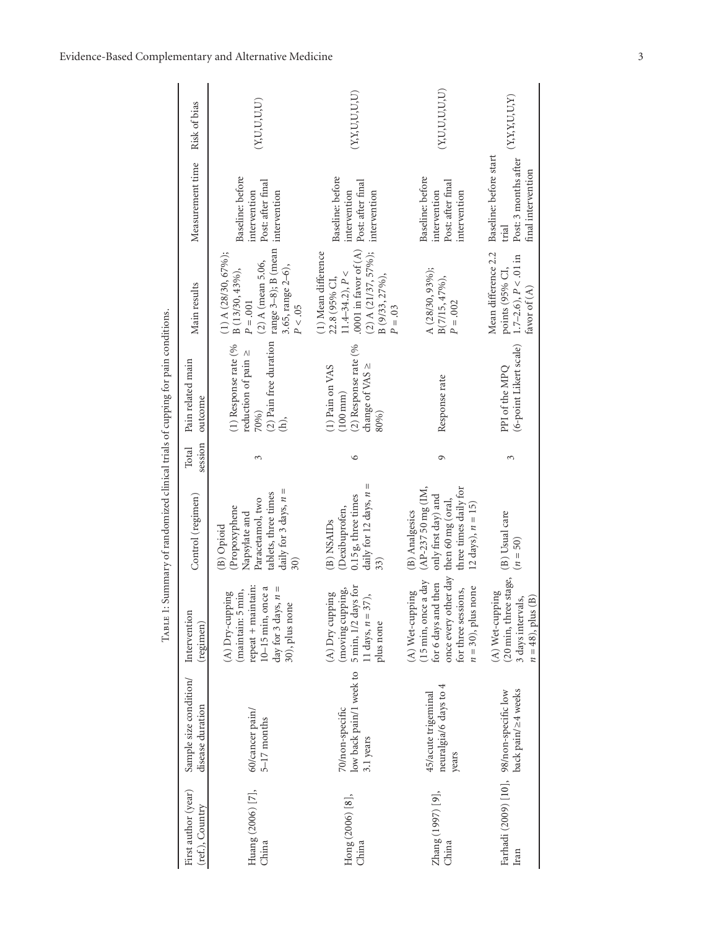| First author (year)<br>(ref.), Country | Sample size condition/<br>disease duration                     | Intervention<br>(regimen)                                                                                                             | Control (regimen)                                                                                                                 | session<br>Total | Pain related main<br>outcome                                                                                                 | Main results                                                                                                                                         | Measurement time Risk of bias                                                 |                    |
|----------------------------------------|----------------------------------------------------------------|---------------------------------------------------------------------------------------------------------------------------------------|-----------------------------------------------------------------------------------------------------------------------------------|------------------|------------------------------------------------------------------------------------------------------------------------------|------------------------------------------------------------------------------------------------------------------------------------------------------|-------------------------------------------------------------------------------|--------------------|
| Huang (2006) [7],<br>China             | 60/cancer pain/<br>$5-17$ months                               | repeat + maintain:<br>$10-15$ min, once a<br>day for 3 days, $n =$<br>(maintain: 5 min,<br>(A) Dry-cupping<br>30), plus none          | daily for 3 days, $n =$<br>tablets, three times<br>Paracetamol, two<br>Propoxyphene<br>Napsylate and<br>(B) Opioid                | 3                | (2) Pain free duration $\text{ range } 3-8$ ); B (mean<br>(1) Response rate (%<br>reduction of pain ≥<br>70%)<br>$\hat{\Xi}$ | $(1)$ A $(28/30, 67\%)$ ;<br>$(2)$ A (mean 5.06,<br>3.65, range 2-6),<br>B (13/30, 43%),<br>$P = .001$<br>P < .05                                    | Baseline: before<br>Post: after final<br>intervention<br>intervention         | (Y, U, U, U, U)    |
| Hong (2006) [8],<br>China              | low back pain/1 week to<br>70/non-specific<br>3.1 years        | 5 min, 1/2 days for<br>(moving cupping,<br>$(A)$ Dry cupping<br>11 days, $n = 37$ ),<br>plus none                                     | daily for 12 days, $n =$<br>0.15 g, three times<br>Dexibuprofen,<br>(B) NSAID <sub>s</sub><br>33)                                 | $\circ$          | $(2)$ Response rate $(%$<br>change of VAS $\geq$<br>$(1)$ Pain on VAS<br>$(100 \text{ mm})$<br>80%)                          | .0001 in favor of $(A)$<br>$(2)$ A $(21/37, 57\%)$ ;<br>(1) Mean difference<br>$11.4 - 34.2$ , $P <$<br>B (9/33, 27%),<br>22.8 (95% CI,<br>$P = .03$ | Baseline: before<br>Post: after final<br>intervention<br>intervention         | (X, Y, U, U, U, U) |
| Zhang (1997) [9],<br>China             | neuralgia/6 days to 4<br>45/acute trigeminal<br>years          | once every other day<br>(15 min, once a day<br>for 6 days and then<br>$n = 30$ ), plus none<br>for three sessions,<br>(A) Wet-cupping | (AP-237 50 mg (IM,<br>three times daily for<br>only first day) and<br>then 60 mg (oral,<br>12 days), $n = 15$ )<br>(B) Analgesics | 9                | Response rate                                                                                                                | A (28/30, 93%);<br>$B(7/15, 47\%)$ ,<br>$P = .002$                                                                                                   | Baseline: before<br>Post: after final<br>intervention<br>intervention         | (Y, U, U, U, U, U) |
| Iran                                   | back pain/24 weeks<br>Farhadi (2009) [10], 98/non-specific low | (20 min, three stage,<br>(A) Wet-cupping<br>$n = 48$ ), plus (B)<br>3 days intervals,                                                 | (B) Usual care<br>$(n = 50)$                                                                                                      | 3                | (6-point Likert scale)<br>PPI of the MPQ                                                                                     | Mean difference 2.2<br>$1.7-2.6$ , $P < 01$ in<br>points (95% CI,<br>favor of $(A)$                                                                  | Baseline: before start<br>Post: 3 months after<br>final intervention<br>trial | (X, Y, Y, U, U, Y) |

<span id="page-2-0"></span>TABLE 1: Summary of randomized clinical trials of cupping for pain conditions. Table 1: Summary of randomized clinical trials of cupping for pain conditions.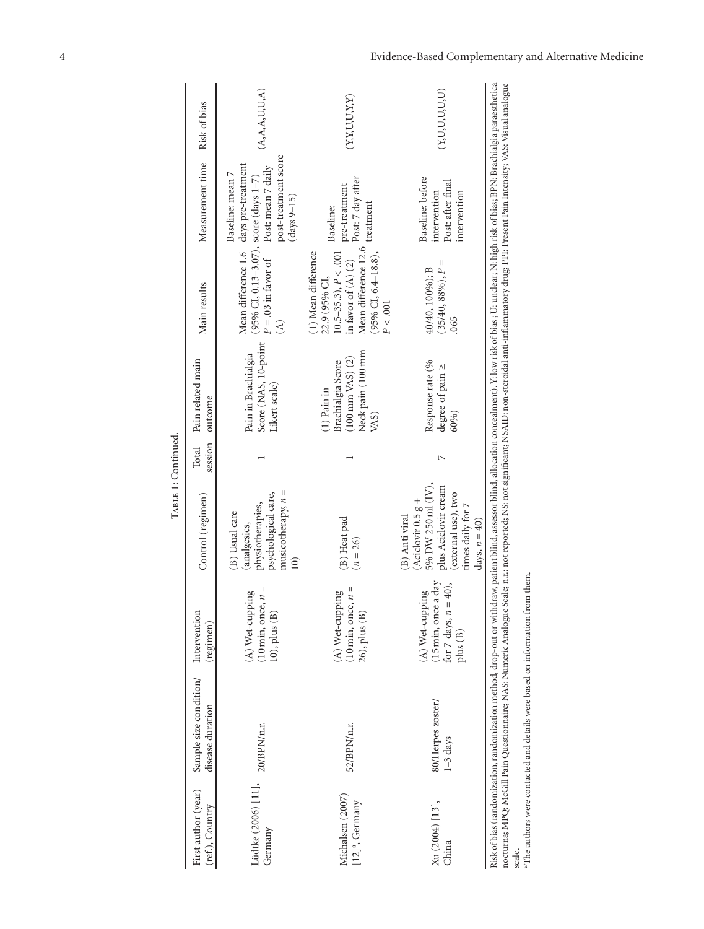| First author (year)<br>(ref.), Country            | Sample size condition/<br>disease duration                                                                                                                                                                                                                                                                                                                                                                                                                                                                             | Intervention<br>(regimen)                                                        | Control (regimen)                                                                                                                                    | session<br>Total | Pain related main<br>outcome                                                                    | Main results                                                                                                                                               | Measurement time                                                                                        | Risk of bias       |
|---------------------------------------------------|------------------------------------------------------------------------------------------------------------------------------------------------------------------------------------------------------------------------------------------------------------------------------------------------------------------------------------------------------------------------------------------------------------------------------------------------------------------------------------------------------------------------|----------------------------------------------------------------------------------|------------------------------------------------------------------------------------------------------------------------------------------------------|------------------|-------------------------------------------------------------------------------------------------|------------------------------------------------------------------------------------------------------------------------------------------------------------|---------------------------------------------------------------------------------------------------------|--------------------|
| Lüdtke $(2006)$ [11], $20/BPM/n.r$ .<br>Germany   |                                                                                                                                                                                                                                                                                                                                                                                                                                                                                                                        | $(10 \text{ min}, \text{ once}, n =$<br>(A) Wet-cupping<br>10), plus (B)         | musicotherapy, $n =$<br>psychological care,<br>physiotherapies,<br>(B) Usual care<br>analgesics,<br>$\widehat{=}$                                    |                  | Score (NAS, 10-point<br>Pain in Brachialgia<br>Likert scale)                                    | (95% CI, 0.13–3.07), score (days 1–7)<br>$P = .03$ in favor of Post: mean 7 dai<br>Mean difference 1.6<br>$\widehat{\mathcal{E}}$                          | post-treatment score<br>days pre-treatment<br>Post: mean 7 daily<br>Baseline: mean 7<br>$(days 9 - 15)$ | (A, A, A, U, U, A) |
| Michalsen (2007)<br>$[12]$ <sup>a</sup> , Germany | 52/BPN/n.r.                                                                                                                                                                                                                                                                                                                                                                                                                                                                                                            | $(10 \text{ min}, \text{ once}, n =$<br>(A) Wet-cupping<br>26), plus (B)         | (B) Heat pad<br>$(n = 26)$                                                                                                                           |                  | Neck pain (100 mm<br>$(100 \text{ mm VAS})$ $(2)$<br>Brachialgia Score<br>$(1)$ Pain in<br>VAS) | Mean difference 12.6<br>$10.5-35.3$ ), $P < .001$<br>(1) Mean difference<br>$(95\%$ CI, 6.4-18.8),<br>in favor of $(A)$ $(2)$<br>22.9 (95% CI,<br>P < .001 | Post: 7 day after<br>pre-treatment<br>treatment<br>Baseline:                                            | (Y, Y, U, U, Y, Y) |
| Xu (2004) [13],<br>China                          | 80/Herpes zoster/<br>$1 - 3$ days                                                                                                                                                                                                                                                                                                                                                                                                                                                                                      | (15 min, once a day<br>(40),<br>(A) Wet-cupping<br>for 7 days, $n =$<br>plus (B) | 5% DW 250 ml (IV),<br>plus Aciclovir cream<br>(external use), two<br>(Aciclovir $0.5 g +$<br>times daily for 7<br>(B) Anti viral<br>days, $n = 40$ ) | $\overline{ }$   | Response rate (%<br>degree of pain ≥<br>60%)                                                    | $\mathsf{I}$<br>40/40, 100%); B<br>$(35/40, 88\%), P$<br>.065                                                                                              | Baseline: before<br>Post: after final<br>intervention<br>intervention                                   | (Y, U, U, U, U, U) |
| scale.                                            | Risk of bias (randomization, randomization method, drop-out or withdraw, patient blind, asessor blind, allocation concealment). Y: low risk of bias; U: undear; N: high risk of bias; BPN: Brachialgia paraesthetica<br>nocturna; MPQ: McGill Pain Questionnaire; NAS: Numeric Analogue Scale; n.r.: not reported; NS: not significant; NSAID: non-steroidal anti-inflammatory drug; PPI: Present Pain Intensity; VAS: Visual analogue<br>aThe authors were contacted and details were based on information from them. |                                                                                  |                                                                                                                                                      |                  |                                                                                                 |                                                                                                                                                            |                                                                                                         |                    |

TABLE 1: Continued. TABLE 1: Continued.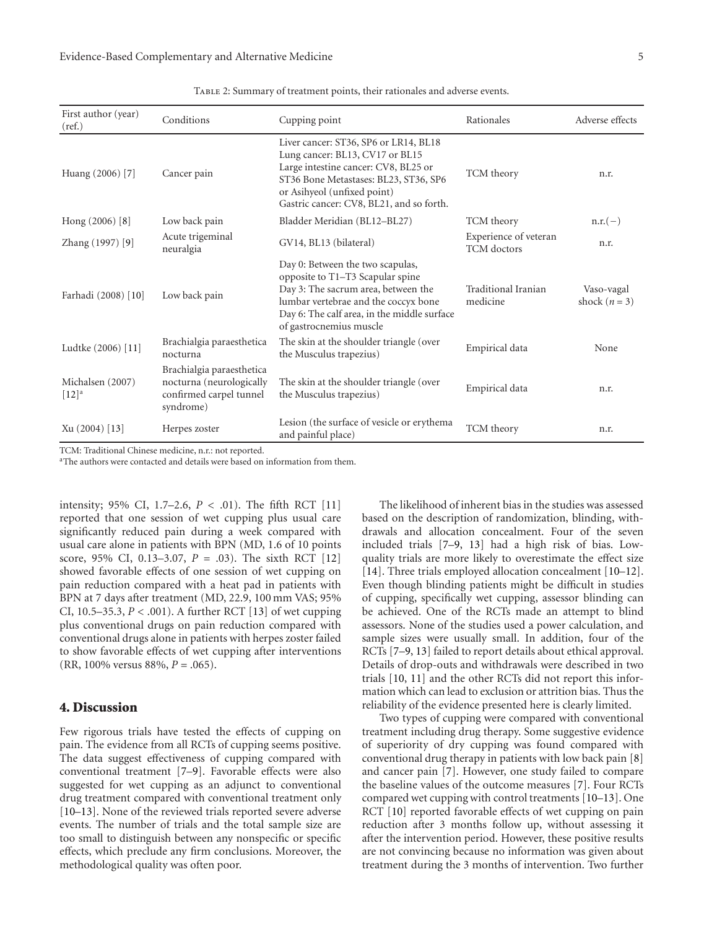| First author (year)<br>(ref.)           | Conditions                                                                                    | Cupping point                                                                                                                                                                                                                        | Rationales                                  | Adverse effects             |
|-----------------------------------------|-----------------------------------------------------------------------------------------------|--------------------------------------------------------------------------------------------------------------------------------------------------------------------------------------------------------------------------------------|---------------------------------------------|-----------------------------|
| Huang (2006) [7]                        | Cancer pain                                                                                   | Liver cancer: ST36, SP6 or LR14, BL18<br>Lung cancer: BL13, CV17 or BL15<br>Large intestine cancer: CV8, BL25 or<br>ST36 Bone Metastases: BL23, ST36, SP6<br>or Asihyeol (unfixed point)<br>Gastric cancer: CV8, BL21, and so forth. | TCM theory                                  | n.r.                        |
| Hong $(2006)$ [8]                       | Low back pain                                                                                 | Bladder Meridian (BL12-BL27)                                                                                                                                                                                                         | TCM theory                                  | $n.r.(-)$                   |
| Zhang (1997) [9]                        | Acute trigeminal<br>neuralgia                                                                 | GV14, BL13 (bilateral)                                                                                                                                                                                                               | Experience of veteran<br><b>TCM</b> doctors | n.r.                        |
| Farhadi (2008) [10]                     | Low back pain                                                                                 | Day 0: Between the two scapulas,<br>opposite to T1-T3 Scapular spine<br>Day 3: The sacrum area, between the<br>lumbar vertebrae and the coccyx bone<br>Day 6: The calf area, in the middle surface<br>of gastrocnemius muscle        | Traditional Iranian<br>medicine             | Vaso-vagal<br>shock $(n=3)$ |
| Ludtke (2006) [11]                      | Brachialgia paraesthetica<br>nocturna                                                         | The skin at the shoulder triangle (over<br>the Musculus trapezius)                                                                                                                                                                   | Empirical data                              | None                        |
| Michalsen (2007)<br>$[12]$ <sup>a</sup> | Brachialgia paraesthetica<br>nocturna (neurologically<br>confirmed carpel tunnel<br>syndrome) | The skin at the shoulder triangle (over<br>the Musculus trapezius)                                                                                                                                                                   | Empirical data                              | n.r.                        |
| Xu (2004) [13]                          | Herpes zoster                                                                                 | Lesion (the surface of vesicle or erythema<br>and painful place)                                                                                                                                                                     | TCM theory                                  | n.r.                        |

<span id="page-4-0"></span>Table 2: Summary of treatment points, their rationales and adverse events.

TCM: Traditional Chinese medicine, n.r.: not reported.

<sup>a</sup>The authors were contacted and details were based on information from them.

intensity; 95% CI, 1.7–2.6, *P <* .01). The fifth RCT [\[11](#page-6-10)] reported that one session of wet cupping plus usual care significantly reduced pain during a week compared with usual care alone in patients with BPN (MD, 1.6 of 10 points score, 95% CI, 0.13–3.07, *P* = .03). The sixth RCT [\[12](#page-6-11)] showed favorable effects of one session of wet cupping on pain reduction compared with a heat pad in patients with BPN at 7 days after treatment (MD, 22.9, 100 mm VAS; 95% CI, 10.5–35.3, *P <* .001). A further RCT [\[13](#page-6-7)] of wet cupping plus conventional drugs on pain reduction compared with conventional drugs alone in patients with herpes zoster failed to show favorable effects of wet cupping after interventions (RR, 100% versus 88%, *P* = .065).

## **4. Discussion**

Few rigorous trials have tested the effects of cupping on pain. The evidence from all RCTs of cupping seems positive. The data suggest effectiveness of cupping compared with conventional treatment [\[7](#page-6-6)[–9\]](#page-6-9). Favorable effects were also suggested for wet cupping as an adjunct to conventional drug treatment compared with conventional treatment only [\[10](#page-6-8)[–13\]](#page-6-7). None of the reviewed trials reported severe adverse events. The number of trials and the total sample size are too small to distinguish between any nonspecific or specific effects, which preclude any firm conclusions. Moreover, the methodological quality was often poor.

The likelihood of inherent bias in the studies was assessed based on the description of randomization, blinding, withdrawals and allocation concealment. Four of the seven included trials [\[7](#page-6-6)[–9](#page-6-9), [13](#page-6-7)] had a high risk of bias. Lowquality trials are more likely to overestimate the effect size [\[14\]](#page-6-13). Three trials employed allocation concealment [\[10](#page-6-8)[–12\]](#page-6-11). Even though blinding patients might be difficult in studies of cupping, specifically wet cupping, assessor blinding can be achieved. One of the RCTs made an attempt to blind assessors. None of the studies used a power calculation, and sample sizes were usually small. In addition, four of the RCTs [\[7](#page-6-6)[–9](#page-6-9), [13\]](#page-6-7) failed to report details about ethical approval. Details of drop-outs and withdrawals were described in two trials [\[10,](#page-6-8) [11\]](#page-6-10) and the other RCTs did not report this information which can lead to exclusion or attrition bias. Thus the reliability of the evidence presented here is clearly limited.

Two types of cupping were compared with conventional treatment including drug therapy. Some suggestive evidence of superiority of dry cupping was found compared with conventional drug therapy in patients with low back pain [\[8](#page-6-12)] and cancer pain [\[7](#page-6-6)]. However, one study failed to compare the baseline values of the outcome measures [\[7](#page-6-6)]. Four RCTs compared wet cupping with control treatments [\[10](#page-6-8)[–13\]](#page-6-7). One RCT [\[10](#page-6-8)] reported favorable effects of wet cupping on pain reduction after 3 months follow up, without assessing it after the intervention period. However, these positive results are not convincing because no information was given about treatment during the 3 months of intervention. Two further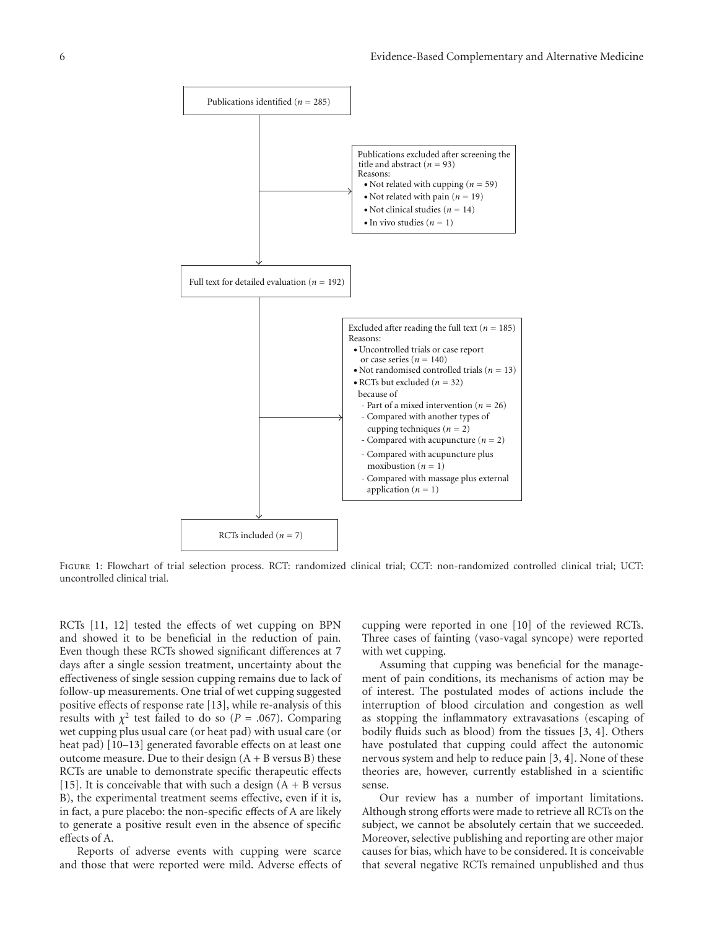

<span id="page-5-0"></span>FIGURE 1: Flowchart of trial selection process. RCT: randomized clinical trial; CCT: non-randomized controlled clinical trial; UCT: uncontrolled clinical trial.

RCTs [\[11,](#page-6-10) [12](#page-6-11)] tested the effects of wet cupping on BPN and showed it to be beneficial in the reduction of pain. Even though these RCTs showed significant differences at 7 days after a single session treatment, uncertainty about the effectiveness of single session cupping remains due to lack of follow-up measurements. One trial of wet cupping suggested positive effects of response rate [\[13](#page-6-7)], while re-analysis of this results with  $\chi^2$  test failed to do so (*P* = .067). Comparing wet cupping plus usual care (or heat pad) with usual care (or heat pad) [\[10](#page-6-8)[–13](#page-6-7)] generated favorable effects on at least one outcome measure. Due to their design  $(A + B)$  versus B) these RCTs are unable to demonstrate specific therapeutic effects [\[15\]](#page-6-14). It is conceivable that with such a design  $(A + B)$  versus B), the experimental treatment seems effective, even if it is, in fact, a pure placebo: the non-specific effects of A are likely to generate a positive result even in the absence of specific effects of A.

Reports of adverse events with cupping were scarce and those that were reported were mild. Adverse effects of cupping were reported in one [\[10\]](#page-6-8) of the reviewed RCTs. Three cases of fainting (vaso-vagal syncope) were reported with wet cupping.

Assuming that cupping was beneficial for the management of pain conditions, its mechanisms of action may be of interest. The postulated modes of actions include the interruption of blood circulation and congestion as well as stopping the inflammatory extravasations (escaping of bodily fluids such as blood) from the tissues [\[3,](#page-6-2) [4](#page-6-3)]. Others have postulated that cupping could affect the autonomic nervous system and help to reduce pain [\[3](#page-6-2), [4\]](#page-6-3). None of these theories are, however, currently established in a scientific sense.

Our review has a number of important limitations. Although strong efforts were made to retrieve all RCTs on the subject, we cannot be absolutely certain that we succeeded. Moreover, selective publishing and reporting are other major causes for bias, which have to be considered. It is conceivable that several negative RCTs remained unpublished and thus